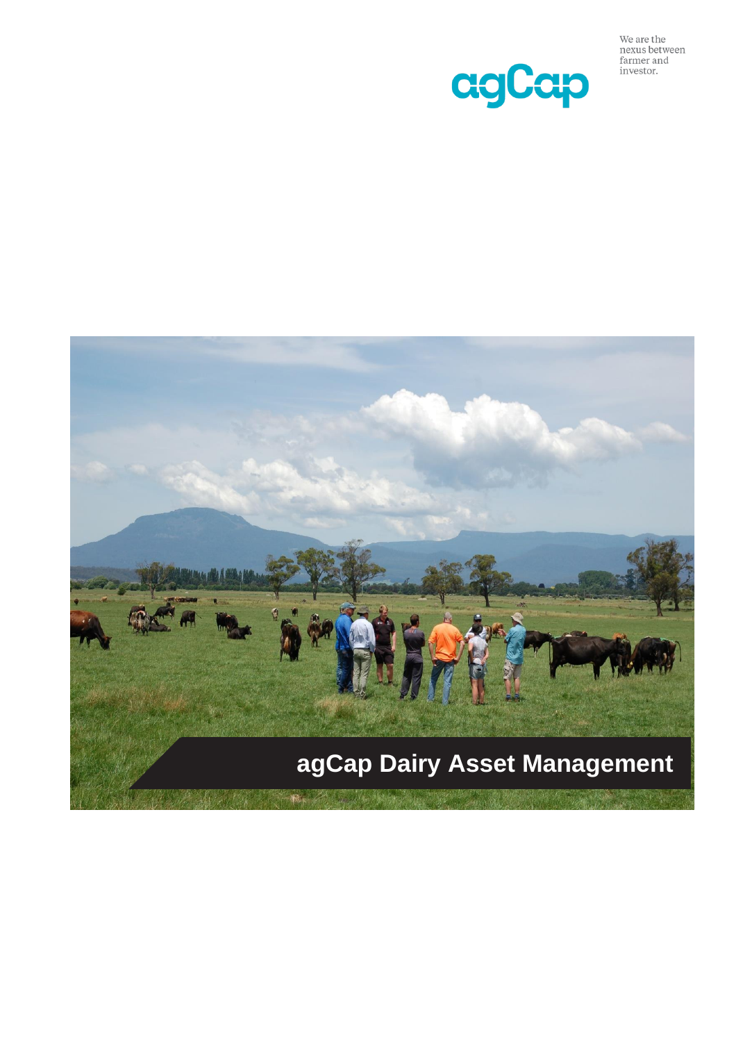

We are the nexus between farmer and<br>investor.

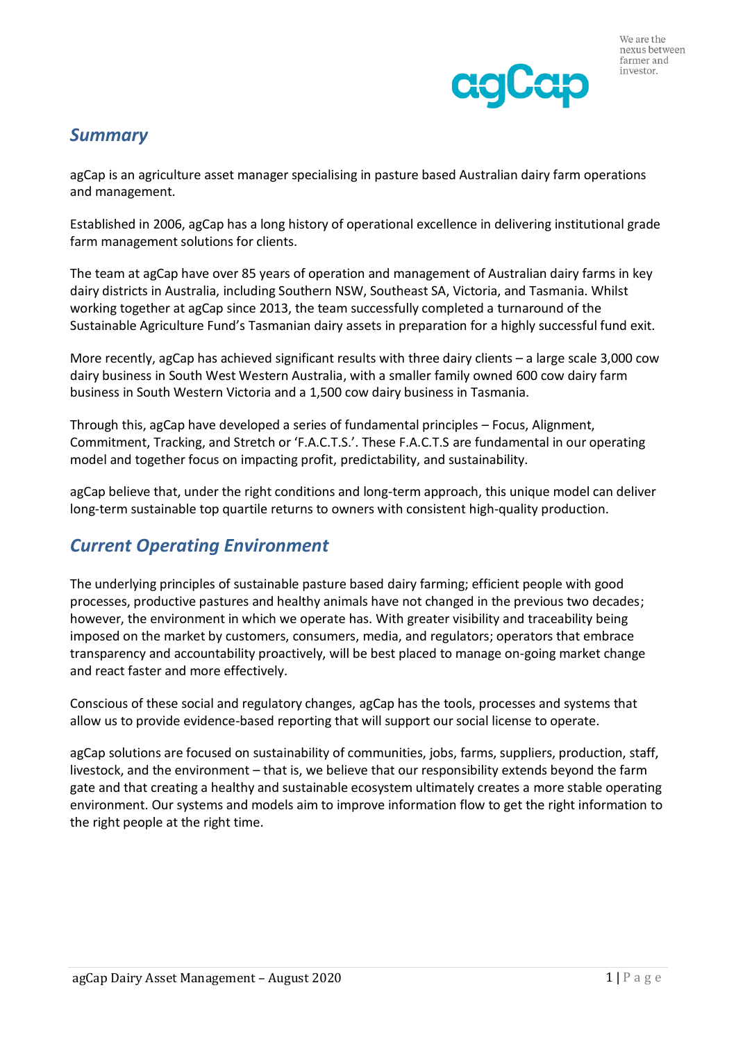# *Summary*

agCap is an agriculture asset manager specialising in pasture based Australian dairy farm operations and management.

Established in 2006, agCap has a long history of operational excellence in delivering institutional grade farm management solutions for clients.

The team at agCap have over 85 years of operation and management of Australian dairy farms in key dairy districts in Australia, including Southern NSW, Southeast SA, Victoria, and Tasmania. Whilst working together at agCap since 2013, the team successfully completed a turnaround of the Sustainable Agriculture Fund's Tasmanian dairy assets in preparation for a highly successful fund exit.

More recently, agCap has achieved significant results with three dairy clients – a large scale 3,000 cow dairy business in South West Western Australia, with a smaller family owned 600 cow dairy farm business in South Western Victoria and a 1,500 cow dairy business in Tasmania.

Through this, agCap have developed a series of fundamental principles – Focus, Alignment, Commitment, Tracking, and Stretch or 'F.A.C.T.S.'. These F.A.C.T.S are fundamental in our operating model and together focus on impacting profit, predictability, and sustainability.

agCap believe that, under the right conditions and long-term approach, this unique model can deliver long-term sustainable top quartile returns to owners with consistent high-quality production.

# *Current Operating Environment*

The underlying principles of sustainable pasture based dairy farming; efficient people with good processes, productive pastures and healthy animals have not changed in the previous two decades; however, the environment in which we operate has. With greater visibility and traceability being imposed on the market by customers, consumers, media, and regulators; operators that embrace transparency and accountability proactively, will be best placed to manage on-going market change and react faster and more effectively.

Conscious of these social and regulatory changes, agCap has the tools, processes and systems that allow us to provide evidence-based reporting that will support our social license to operate.

agCap solutions are focused on sustainability of communities, jobs, farms, suppliers, production, staff, livestock, and the environment – that is, we believe that our responsibility extends beyond the farm gate and that creating a healthy and sustainable ecosystem ultimately creates a more stable operating environment. Our systems and models aim to improve information flow to get the right information to the right people at the right time.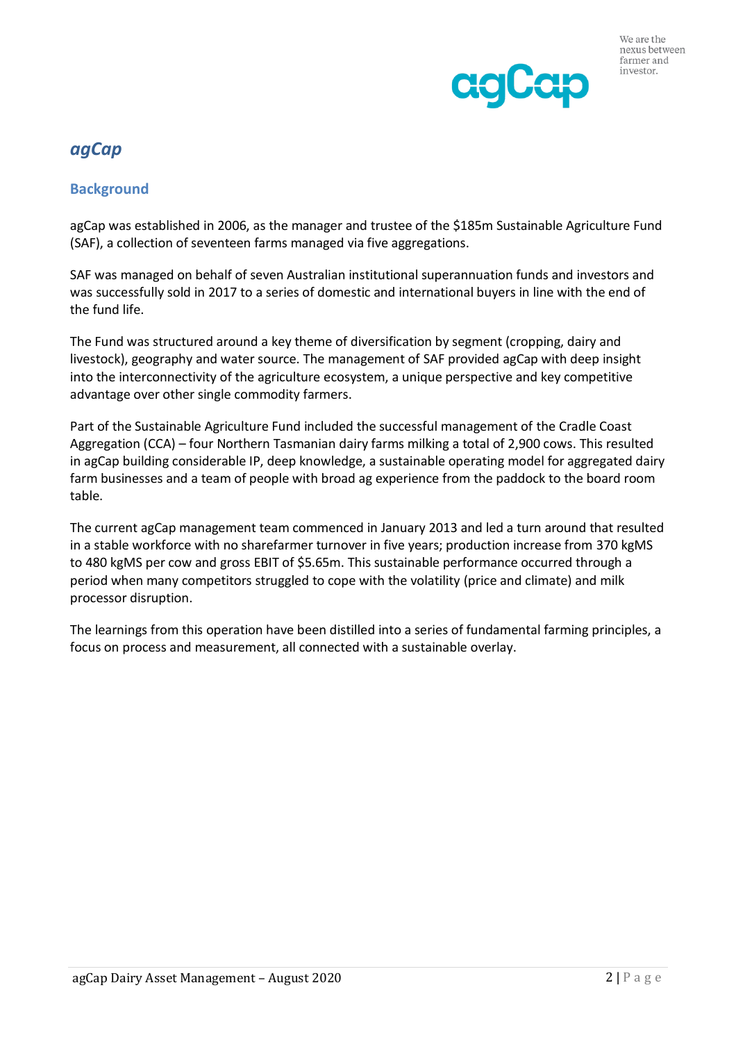

# *agCap*

## **Background**

agCap was established in 2006, as the manager and trustee of the \$185m Sustainable Agriculture Fund (SAF), a collection of seventeen farms managed via five aggregations.

SAF was managed on behalf of seven Australian institutional superannuation funds and investors and was successfully sold in 2017 to a series of domestic and international buyers in line with the end of the fund life.

The Fund was structured around a key theme of diversification by segment (cropping, dairy and livestock), geography and water source. The management of SAF provided agCap with deep insight into the interconnectivity of the agriculture ecosystem, a unique perspective and key competitive advantage over other single commodity farmers.

Part of the Sustainable Agriculture Fund included the successful management of the Cradle Coast Aggregation (CCA) – four Northern Tasmanian dairy farms milking a total of 2,900 cows. This resulted in agCap building considerable IP, deep knowledge, a sustainable operating model for aggregated dairy farm businesses and a team of people with broad ag experience from the paddock to the board room table.

The current agCap management team commenced in January 2013 and led a turn around that resulted in a stable workforce with no sharefarmer turnover in five years; production increase from 370 kgMS to 480 kgMS per cow and gross EBIT of \$5.65m. This sustainable performance occurred through a period when many competitors struggled to cope with the volatility (price and climate) and milk processor disruption.

The learnings from this operation have been distilled into a series of fundamental farming principles, a focus on process and measurement, all connected with a sustainable overlay.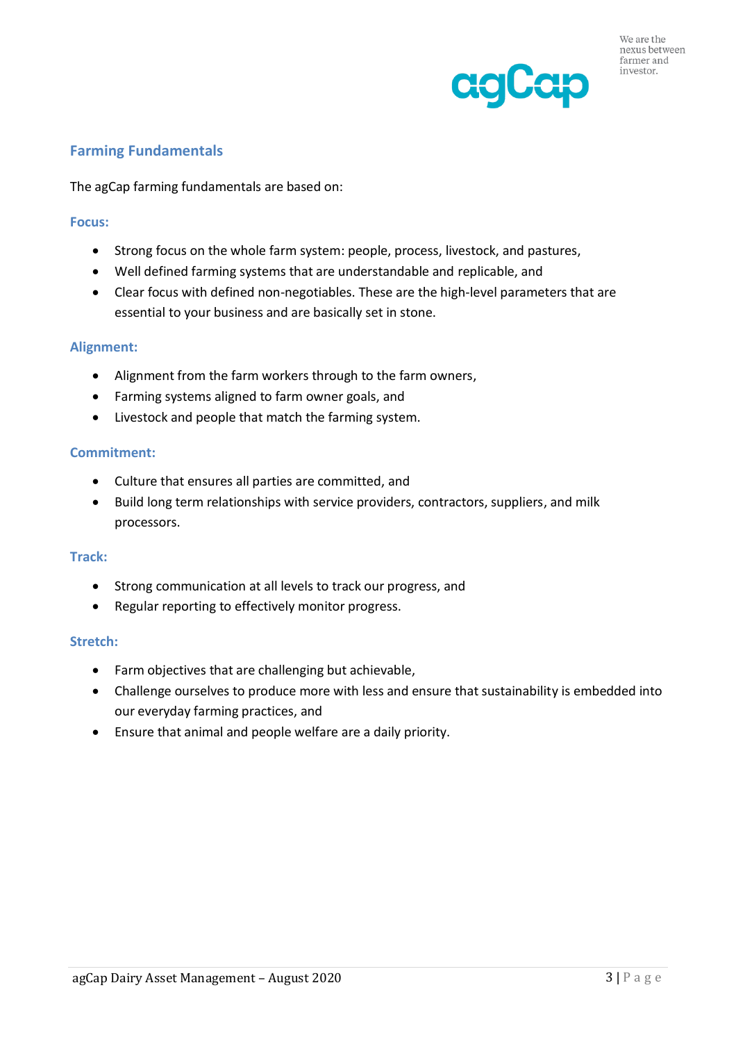

## **Farming Fundamentals**

The agCap farming fundamentals are based on:

## **Focus:**

- Strong focus on the whole farm system: people, process, livestock, and pastures,
- Well defined farming systems that are understandable and replicable, and
- Clear focus with defined non-negotiables. These are the high-level parameters that are essential to your business and are basically set in stone.

## **Alignment:**

- Alignment from the farm workers through to the farm owners,
- Farming systems aligned to farm owner goals, and
- Livestock and people that match the farming system.

## **Commitment:**

- Culture that ensures all parties are committed, and
- Build long term relationships with service providers, contractors, suppliers, and milk processors.

## **Track:**

- Strong communication at all levels to track our progress, and
- Regular reporting to effectively monitor progress.

## **Stretch:**

- Farm objectives that are challenging but achievable,
- Challenge ourselves to produce more with less and ensure that sustainability is embedded into our everyday farming practices, and
- Ensure that animal and people welfare are a daily priority.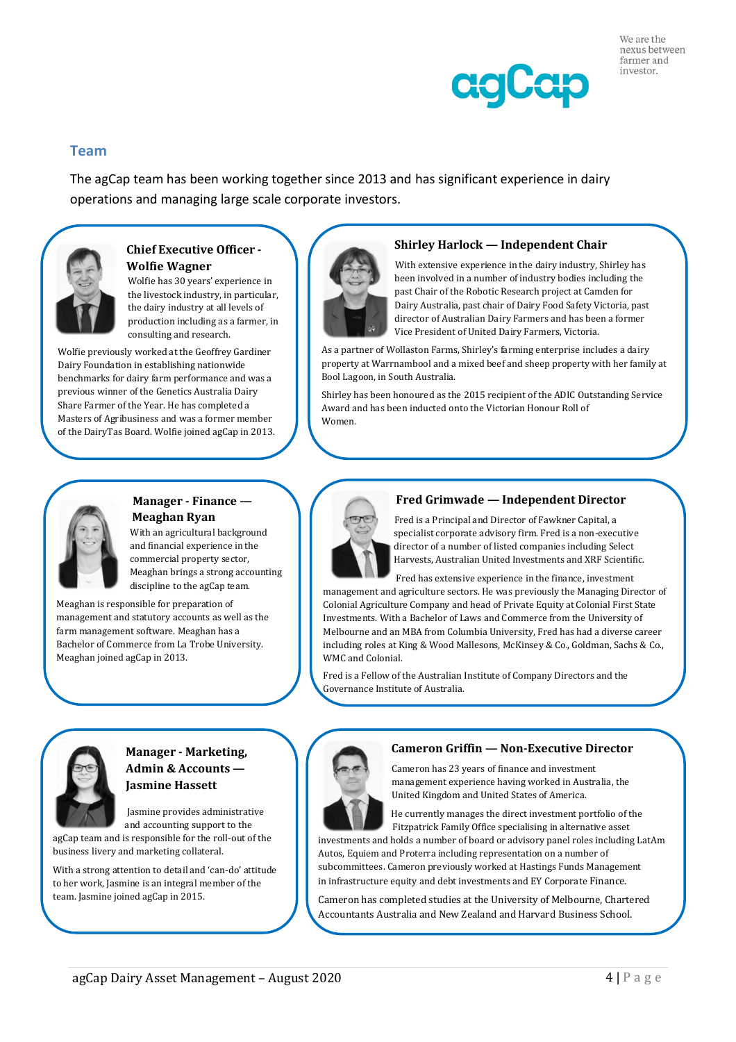

## **Team**

The agCap team has been working together since 2013 and has significant experience in dairy operations and managing large scale corporate investors.



## **Chief Executive Officer - Wolfie Wagner**

Wolfie has 30 years' experience in the livestock industry, in particular, the dairy industry at all levels of production including as a farmer, in consulting and research.

Wolfie previously worked at the Geoffrey Gardiner Dairy Foundation in establishing nationwide benchmarks for dairy farm performance and was a previous winner of the Genetics Australia Dairy Share Farmer of the Year. He has completed a Masters of Agribusiness and was a former member of the DairyTas Board. Wolfie joined agCap in 2013.



#### **Shirley Harlock — Independent Chair**

 With extensive experience in the dairy industry, Shirley has been involved in a number of industry bodies including the past Chair of the Robotic Research project at Camden for Dairy Australia, past chair of Dairy Food Safety Victoria, past director of Australian Dairy Farmers and has been a former Vice President of United Dairy Farmers, Victoria.

As a partner of Wollaston Farms, Shirley's farming enterprise includes a dairy property at Warrnambool and a mixed beef and sheep property with her family at Bool Lagoon, in South Australia.

Shirley has been honoured as the 2015 recipient of the ADIC Outstanding Service Award and has been inducted onto the Victorian Honour Roll of Women.



#### **Manager - Finance — Meaghan Ryan**

 With an agricultural background and financial experience in the commercial property sector, Meaghan brings a strong accounting discipline to the agCap team.

Meaghan is responsible for preparation of management and statutory accounts as well as the farm management software. Meaghan has a Bachelor of Commerce from La Trobe University. Meaghan joined agCap in 2013.

#### **Fred Grimwade — Independent Director**

 Fred is a Principal and Director of Fawkner Capital, a specialist corporate advisory firm. Fred is a non-executive director of a number of listed companies including Select Harvests, Australian United Investments and XRF Scientific.

 Fred has extensive experience in the finance, investment management and agriculture sectors. He was previously the Managing Director of Colonial Agriculture Company and head of Private Equity at Colonial First State Investments. With a Bachelor of Laws and Commerce from the University of Melbourne and an MBA from Columbia University, Fred has had a diverse career including roles at King & Wood Mallesons, McKinsey & Co., Goldman, Sachs & Co., WMC and Colonial.

Fred is a Fellow of the Australian Institute of Company Directors and the Governance Institute of Australia.



## **Manager - Marketing, Admin & Accounts — Jasmine Hassett**

 Jasmine provides administrative and accounting support to the

agCap team and is responsible for the roll-out of the business livery and marketing collateral.

With a strong attention to detail and 'can-do' attitude to her work, Jasmine is an integral member of the team. Jasmine joined agCap in 2015.



#### **Cameron Griffin — Non-Executive Director**

 Cameron has 23 years of finance and investment management experience having worked in Australia, the United Kingdom and United States of America.

 He currently manages the direct investment portfolio of the Fitzpatrick Family Office specialising in alternative asset

investments and holds a number of board or advisory panel roles including LatAm Autos, Equiem and Proterra including representation on a number of subcommittees. Cameron previously worked at Hastings Funds Management in infrastructure equity and debt investments and EY Corporate Finance.

Cameron has completed studies at the University of Melbourne, Chartered Accountants Australia and New Zealand and Harvard Business School.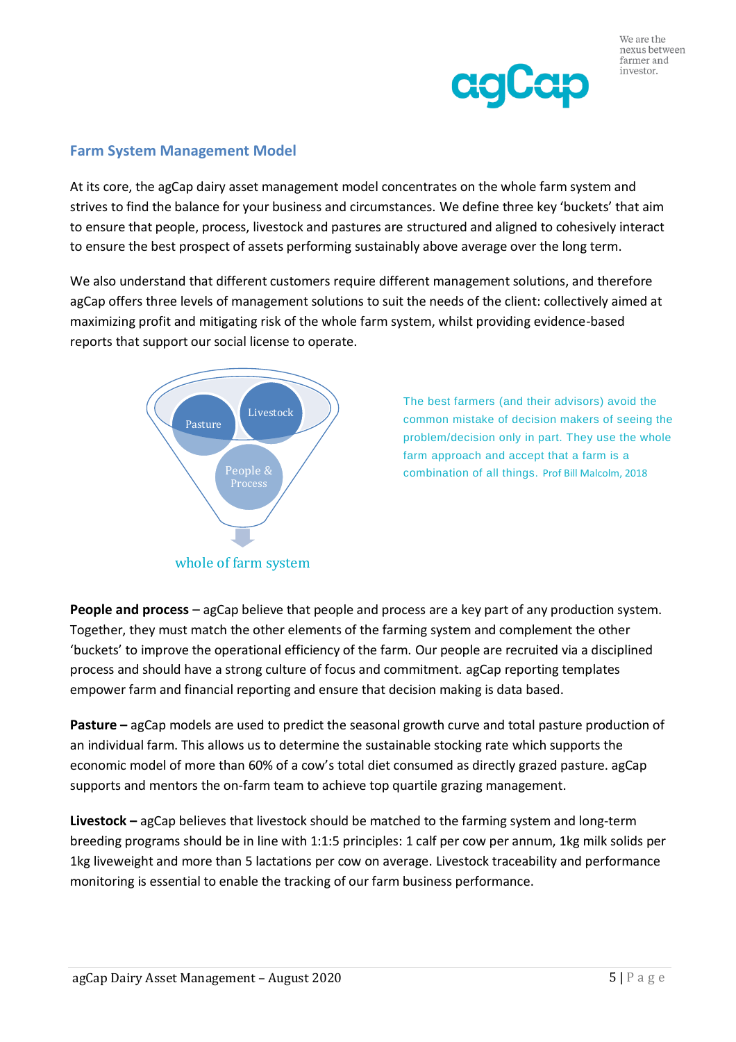

## **Farm System Management Model**

At its core, the agCap dairy asset management model concentrates on the whole farm system and strives to find the balance for your business and circumstances. We define three key 'buckets' that aim to ensure that people, process, livestock and pastures are structured and aligned to cohesively interact to ensure the best prospect of assets performing sustainably above average over the long term.

We also understand that different customers require different management solutions, and therefore agCap offers three levels of management solutions to suit the needs of the client: collectively aimed at maximizing profit and mitigating risk of the whole farm system, whilst providing evidence-based reports that support our social license to operate.



The best farmers (and their advisors) avoid the common mistake of decision makers of seeing the problem/decision only in part. They use the whole farm approach and accept that a farm is a combination of all things. Prof Bill Malcolm, 2018

**People and process** – agCap believe that people and process are a key part of any production system. Together, they must match the other elements of the farming system and complement the other 'buckets' to improve the operational efficiency of the farm. Our people are recruited via a disciplined process and should have a strong culture of focus and commitment. agCap reporting templates empower farm and financial reporting and ensure that decision making is data based.

**Pasture** – agCap models are used to predict the seasonal growth curve and total pasture production of an individual farm. This allows us to determine the sustainable stocking rate which supports the economic model of more than 60% of a cow's total diet consumed as directly grazed pasture. agCap supports and mentors the on-farm team to achieve top quartile grazing management.

**Livestock –** agCap believes that livestock should be matched to the farming system and long-term breeding programs should be in line with 1:1:5 principles: 1 calf per cow per annum, 1kg milk solids per 1kg liveweight and more than 5 lactations per cow on average. Livestock traceability and performance monitoring is essential to enable the tracking of our farm business performance.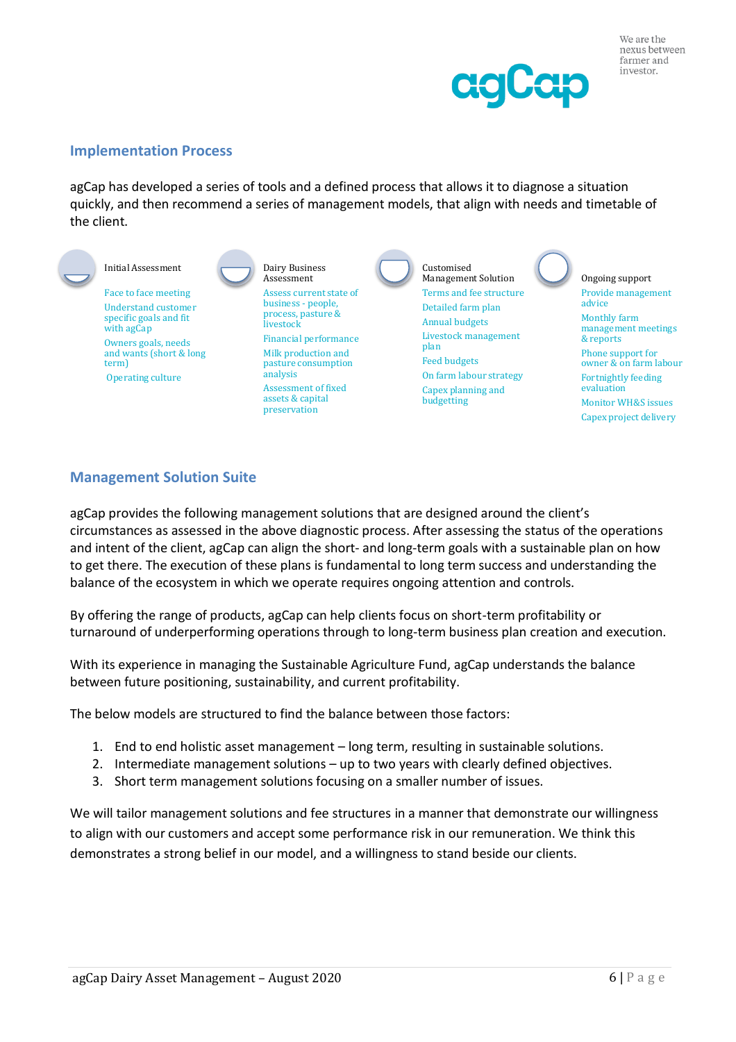

## **Implementation Process**

agCap has developed a series of tools and a defined process that allows it to diagnose a situation quickly, and then recommend a series of management models, that align with needs and timetable of the client.



## **Management Solution Suite**

agCap provides the following management solutions that are designed around the client's circumstances as assessed in the above diagnostic process. After assessing the status of the operations and intent of the client, agCap can align the short- and long-term goals with a sustainable plan on how to get there. The execution of these plans is fundamental to long term success and understanding the balance of the ecosystem in which we operate requires ongoing attention and controls.

By offering the range of products, agCap can help clients focus on short-term profitability or turnaround of underperforming operations through to long-term business plan creation and execution.

With its experience in managing the Sustainable Agriculture Fund, agCap understands the balance between future positioning, sustainability, and current profitability.

The below models are structured to find the balance between those factors:

- 1. End to end holistic asset management long term, resulting in sustainable solutions.
- 2. Intermediate management solutions up to two years with clearly defined objectives.
- 3. Short term management solutions focusing on a smaller number of issues.

We will tailor management solutions and fee structures in a manner that demonstrate our willingness to align with our customers and accept some performance risk in our remuneration. We think this demonstrates a strong belief in our model, and a willingness to stand beside our clients.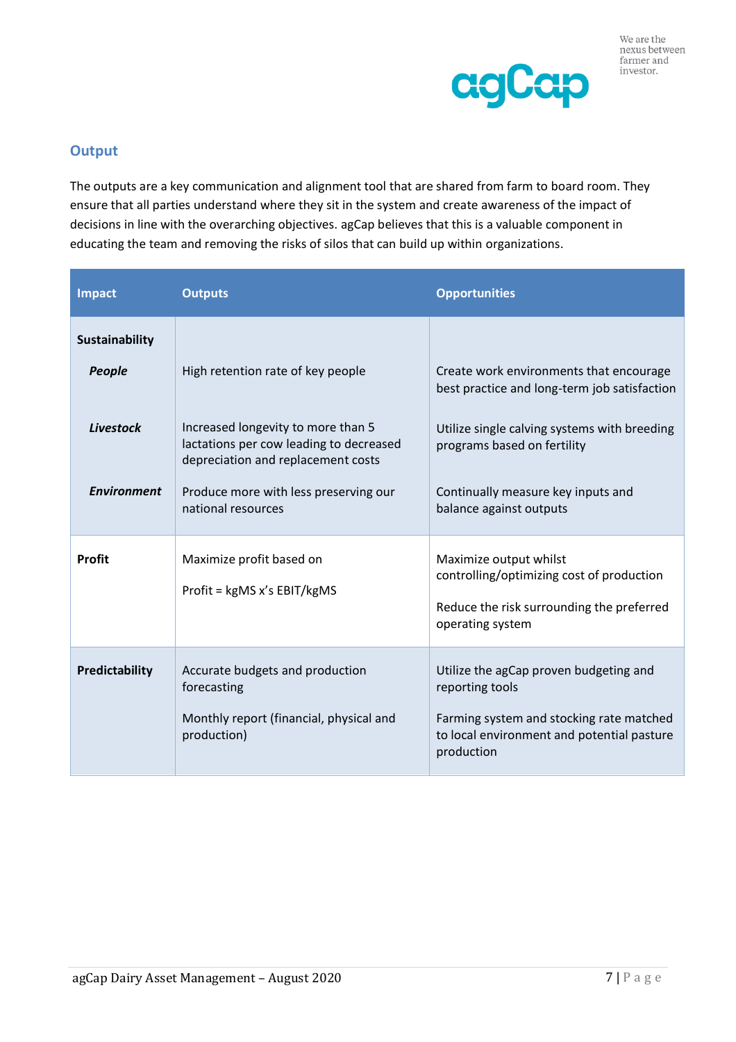



## **Output**

The outputs are a key communication and alignment tool that are shared from farm to board room. They ensure that all parties understand where they sit in the system and create awareness of the impact of decisions in line with the overarching objectives. agCap believes that this is a valuable component in educating the team and removing the risks of silos that can build up within organizations.

| <b>Impact</b>                                               | <b>Outputs</b>                                                                                                                                                                                                          | <b>Opportunities</b>                                                                                                                                                                                                                    |
|-------------------------------------------------------------|-------------------------------------------------------------------------------------------------------------------------------------------------------------------------------------------------------------------------|-----------------------------------------------------------------------------------------------------------------------------------------------------------------------------------------------------------------------------------------|
| Sustainability<br>People<br>Livestock<br><b>Environment</b> | High retention rate of key people<br>Increased longevity to more than 5<br>lactations per cow leading to decreased<br>depreciation and replacement costs<br>Produce more with less preserving our<br>national resources | Create work environments that encourage<br>best practice and long-term job satisfaction<br>Utilize single calving systems with breeding<br>programs based on fertility<br>Continually measure key inputs and<br>balance against outputs |
| <b>Profit</b>                                               | Maximize profit based on<br>Profit = kgMS x's EBIT/kgMS                                                                                                                                                                 | Maximize output whilst<br>controlling/optimizing cost of production<br>Reduce the risk surrounding the preferred<br>operating system                                                                                                    |
| Predictability                                              | Accurate budgets and production<br>forecasting<br>Monthly report (financial, physical and<br>production)                                                                                                                | Utilize the agCap proven budgeting and<br>reporting tools<br>Farming system and stocking rate matched<br>to local environment and potential pasture<br>production                                                                       |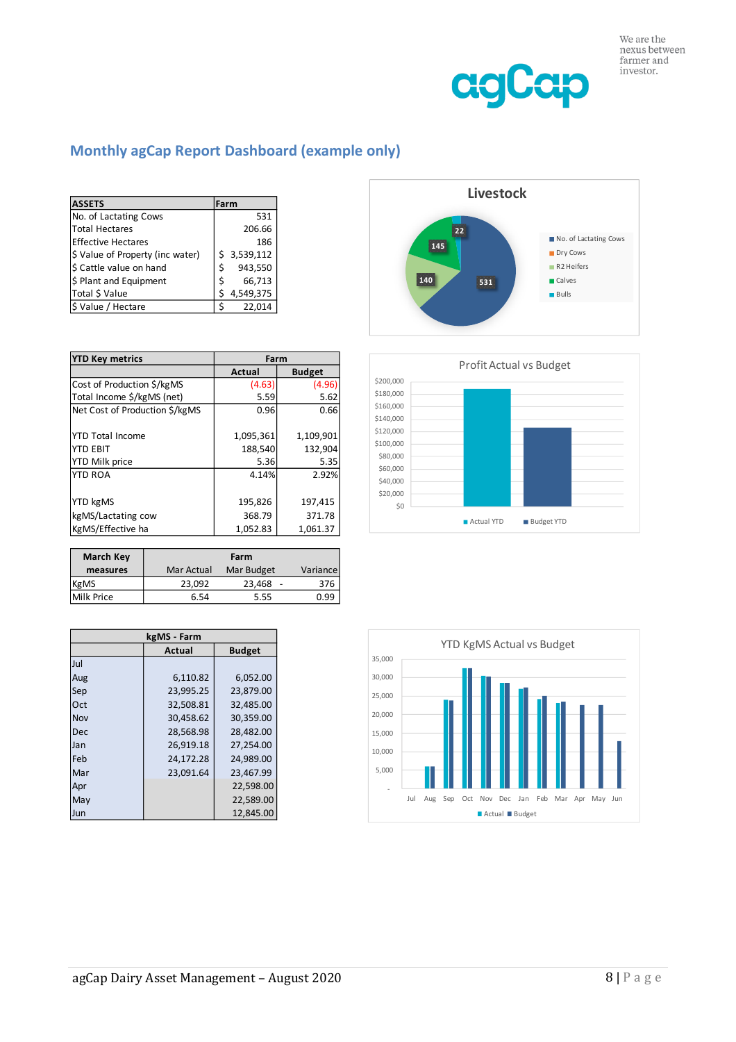

## **Monthly agCap Report Dashboard (example only)**

| <b>ASSETS</b>                    |    | Farm      |
|----------------------------------|----|-----------|
| No. of Lactating Cows            |    | 531       |
| <b>Total Hectares</b>            |    | 206.66    |
| <b>Effective Hectares</b>        |    | 186       |
| \$ Value of Property (inc water) | Ś. | 3,539,112 |
| \$ Cattle value on hand          | Ś  | 943,550   |
| \$ Plant and Equipment           | Ś  | 66,713    |
| Total \$ Value                   | Ś  | 4,549,375 |
| \$ Value / Hectare               | ς  | 22,014    |

| <b>YTD Key metrics</b>         | Farm          |               |
|--------------------------------|---------------|---------------|
|                                | <b>Actual</b> | <b>Budget</b> |
| Cost of Production \$/kgMS     | (4.63)        | (4.96)        |
| Total Income \$/kgMS (net)     | 5.59          | 5.62          |
| Net Cost of Production \$/kgMS | 0.96          | 0.66          |
|                                |               |               |
| <b>YTD Total Income</b>        | 1,095,361     | 1,109,901     |
| <b>YTD EBIT</b>                | 188,540       | 132,904       |
| <b>YTD Milk price</b>          | 5.36          | 5.35          |
| <b>YTD ROA</b>                 | 4.14%         | 2.92%         |
|                                |               |               |
| <b>YTD kgMS</b>                | 195,826       | 197,415       |
| kgMS/Lactating cow             | 368.79        | 371.78        |
| KgMS/Effective ha              | 1,052.83      | 1,061.37      |

| <b>March Key</b>  | Farm       |            |          |  |
|-------------------|------------|------------|----------|--|
| measures          | Mar Actual | Mar Budget | Variance |  |
| <b>KgMS</b>       | 23.092     | 23,468     | 376      |  |
| <b>Milk Price</b> | 6.54       | 5.55       | ) qo     |  |

| kgMS - Farm |           |               |  |  |  |
|-------------|-----------|---------------|--|--|--|
|             | Actual    | <b>Budget</b> |  |  |  |
| Jul         |           |               |  |  |  |
| Aug         | 6,110.82  | 6.052.00      |  |  |  |
| Sep         | 23,995.25 | 23.879.00     |  |  |  |
| Oct         | 32,508.81 | 32,485.00     |  |  |  |
| Nov         | 30,458.62 | 30,359.00     |  |  |  |
| Dec         | 28,568.98 | 28.482.00     |  |  |  |
| Jan         | 26,919.18 | 27,254.00     |  |  |  |
| Feb         | 24.172.28 | 24.989.00     |  |  |  |
| Mar         | 23,091.64 | 23,467.99     |  |  |  |
| Apr         |           | 22,598.00     |  |  |  |
| May         |           | 22,589.00     |  |  |  |
| Jun         |           | 12.845.00     |  |  |  |





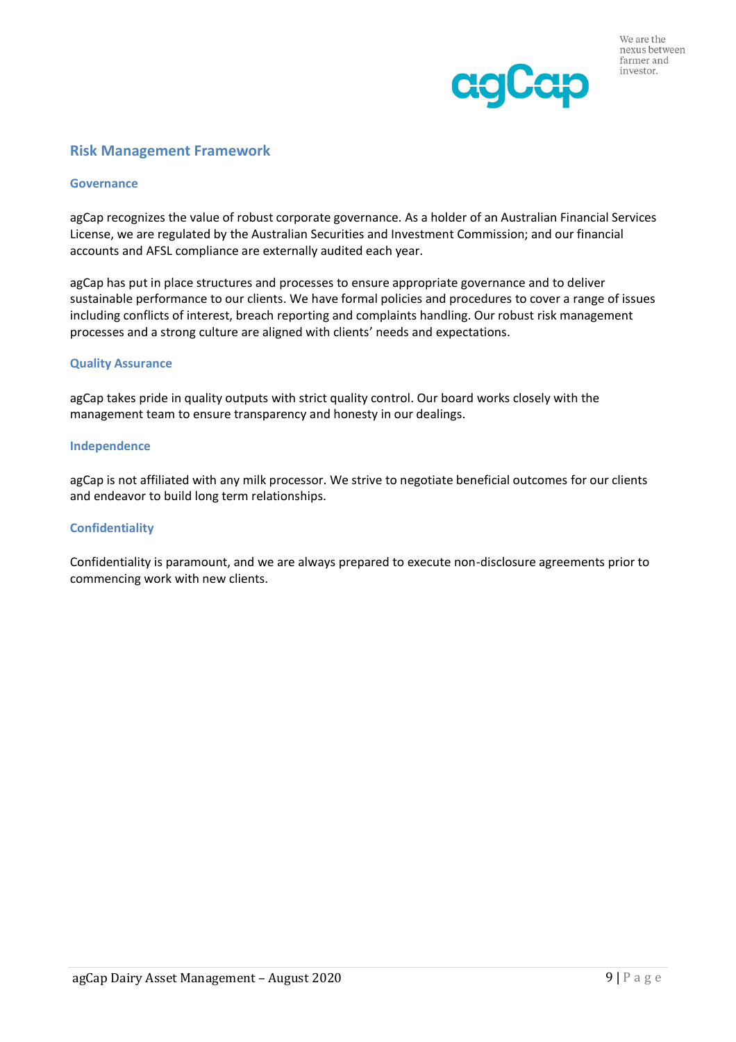

## **Risk Management Framework**

#### **Governance**

agCap recognizes the value of robust corporate governance. As a holder of an Australian Financial Services License, we are regulated by the Australian Securities and Investment Commission; and our financial accounts and AFSL compliance are externally audited each year.

agCap has put in place structures and processes to ensure appropriate governance and to deliver sustainable performance to our clients. We have formal policies and procedures to cover a range of issues including conflicts of interest, breach reporting and complaints handling. Our robust risk management processes and a strong culture are aligned with clients' needs and expectations.

#### **Quality Assurance**

agCap takes pride in quality outputs with strict quality control. Our board works closely with the management team to ensure transparency and honesty in our dealings.

#### **Independence**

agCap is not affiliated with any milk processor. We strive to negotiate beneficial outcomes for our clients and endeavor to build long term relationships.

#### **Confidentiality**

Confidentiality is paramount, and we are always prepared to execute non-disclosure agreements prior to commencing work with new clients.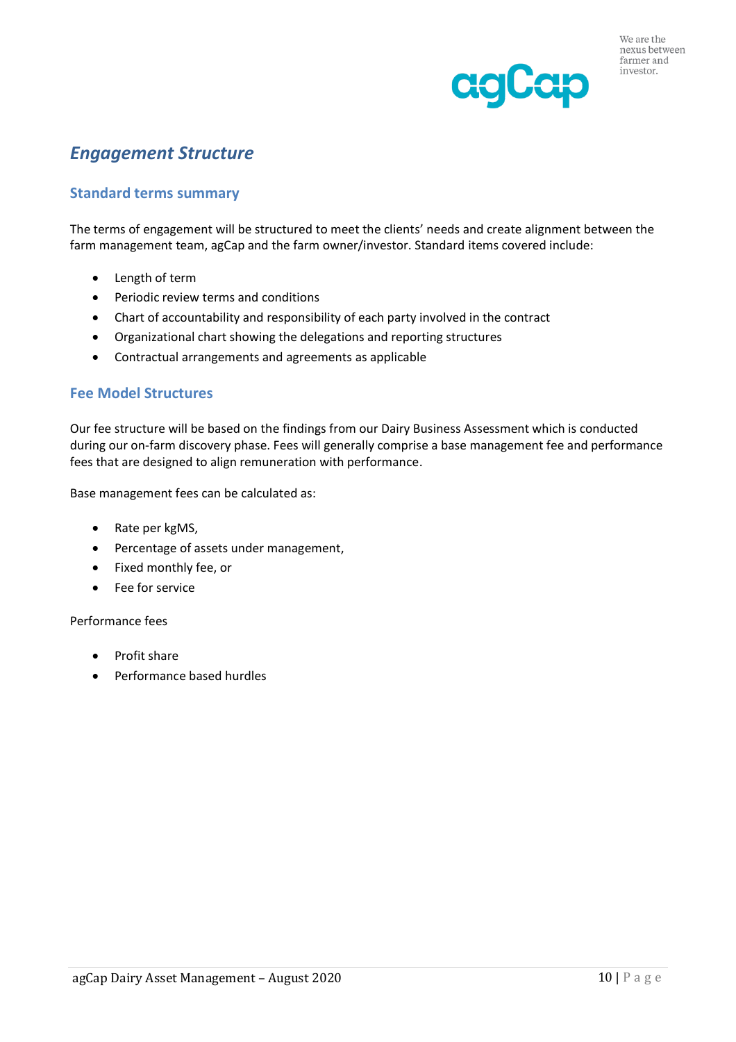

# *Engagement Structure*

## **Standard terms summary**

The terms of engagement will be structured to meet the clients' needs and create alignment between the farm management team, agCap and the farm owner/investor. Standard items covered include:

- Length of term
- Periodic review terms and conditions
- Chart of accountability and responsibility of each party involved in the contract
- Organizational chart showing the delegations and reporting structures
- Contractual arrangements and agreements as applicable

### **Fee Model Structures**

Our fee structure will be based on the findings from our Dairy Business Assessment which is conducted during our on-farm discovery phase. Fees will generally comprise a base management fee and performance fees that are designed to align remuneration with performance.

Base management fees can be calculated as:

- Rate per kgMS,
- Percentage of assets under management,
- Fixed monthly fee, or
- Fee for service

#### Performance fees

- Profit share
- Performance based hurdles